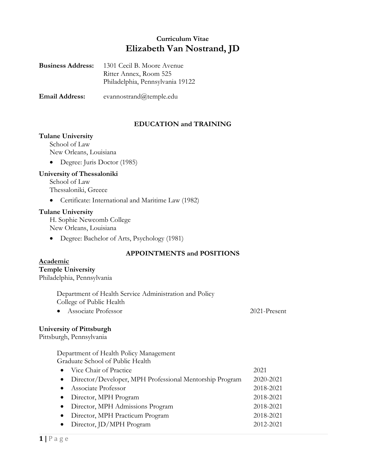# **Curriculum Vitae Elizabeth Van Nostrand, JD**

| <b>Business Address:</b> | 1301 Cecil B. Moore Avenue       |
|--------------------------|----------------------------------|
|                          | Ritter Annex, Room 525           |
|                          | Philadelphia, Pennsylvania 19122 |
|                          |                                  |

**Email Address:** evannostrand@temple.edu

# **EDUCATION and TRAINING**

## **Tulane University**

School of Law New Orleans, Louisiana

• Degree: Juris Doctor (1985)

## **University of Thessaloniki**

School of Law Thessaloniki, Greece

• Certificate: International and Maritime Law (1982)

### **Tulane University**

H. Sophie Newcomb College New Orleans, Louisiana

• Degree: Bachelor of Arts, Psychology (1981)

# **APPOINTMENTS and POSITIONS**

### **Academic**

# **Temple University**

Philadelphia, Pennsylvania

 Department of Health Service Administration and Policy College of Public Health

• Associate Professor 2021-Present

## **University of Pittsburgh**

Pittsburgh, Pennsylvania

Department of Health Policy Management Graduate School of Public Health

| • Vice Chair of Practice                                  | 2021      |
|-----------------------------------------------------------|-----------|
| • Director/Developer, MPH Professional Mentorship Program | 2020-2021 |
| • Associate Professor                                     | 2018-2021 |
| • Director, MPH Program                                   | 2018-2021 |
| • Director, MPH Admissions Program                        | 2018-2021 |
| • Director, MPH Practicum Program                         | 2018-2021 |
| $\bullet$ Director, JD/MPH Program                        | 2012-2021 |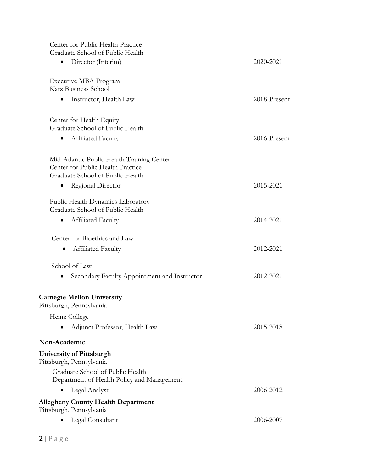| Center for Public Health Practice<br>Graduate School of Public Health                                               |              |
|---------------------------------------------------------------------------------------------------------------------|--------------|
| Director (Interim)<br>٠                                                                                             | 2020-2021    |
| Executive MBA Program<br>Katz Business School                                                                       |              |
| Instructor, Health Law<br>٠                                                                                         | 2018-Present |
| Center for Health Equity<br>Graduate School of Public Health                                                        |              |
| Affiliated Faculty<br>٠                                                                                             | 2016-Present |
| Mid-Atlantic Public Health Training Center<br>Center for Public Health Practice<br>Graduate School of Public Health |              |
| Regional Director                                                                                                   | 2015-2021    |
| Public Health Dynamics Laboratory<br>Graduate School of Public Health                                               |              |
| Affiliated Faculty                                                                                                  | 2014-2021    |
| Center for Bioethics and Law<br>Affiliated Faculty                                                                  | 2012-2021    |
| School of Law                                                                                                       |              |
| Secondary Faculty Appointment and Instructor                                                                        | 2012-2021    |
| <b>Carnegie Mellon University</b><br>Pittsburgh, Pennsylvania                                                       |              |
| Heinz College                                                                                                       |              |
| Adjunct Professor, Health Law                                                                                       | 2015-2018    |
| Non-Academic                                                                                                        |              |
| <b>University of Pittsburgh</b><br>Pittsburgh, Pennsylvania                                                         |              |
| Graduate School of Public Health<br>Department of Health Policy and Management                                      |              |
| Legal Analyst                                                                                                       | 2006-2012    |
| <b>Allegheny County Health Department</b><br>Pittsburgh, Pennsylvania                                               |              |
| Legal Consultant                                                                                                    | 2006-2007    |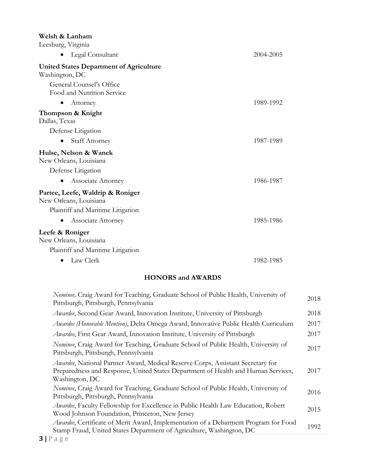# **Welsh & Lanham**

Leesburg, Virginia

| Legal Consultant<br>$\bullet$                              | 2004-2005 |
|------------------------------------------------------------|-----------|
| <b>United States Department of Agriculture</b>             |           |
| Washington, DC                                             |           |
| General Counsel's Office<br>Food and Nutrition Service     |           |
| Attorney<br>$\bullet$                                      | 1989-1992 |
| Thompson & Knight<br>Dallas, Texas                         |           |
| Defense Litigation                                         |           |
| <b>Staff Attorney</b>                                      | 1987-1989 |
| Hulse, Nelson & Wanek<br>New Orleans, Louisiana            |           |
| Defense Litigation                                         |           |
| Associate Attorney                                         | 1986-1987 |
| Partee, Leefe, Waldrip & Roniger<br>New Orleans, Louisiana |           |
| Plaintiff and Maritime Litigation                          |           |
| Associate Attorney<br>$\bullet$                            | 1985-1986 |
| Leefe & Roniger<br>New Orleans, Louisiana                  |           |
| Plaintiff and Maritime Litigation                          |           |
| Law Clerk<br>$\bullet$                                     | 1982-1985 |

# **HONORS and AWARDS**

| Nominee, Craig Award for Teaching, Graduate School of Public Health, University of<br>Pittsburgh, Pittsburgh, Pennsylvania                                                             | 2018 |
|----------------------------------------------------------------------------------------------------------------------------------------------------------------------------------------|------|
| Awardee, Second Gear Award, Innovation Institute, University of Pittsburgh                                                                                                             | 2018 |
| Awardee (Honorable Mention), Delta Omega Award, Innovative Public Health Curriculum                                                                                                    | 2017 |
| Awardee, First Gear Award, Innovation Institute, University of Pittsburgh                                                                                                              | 2017 |
| Nominee, Craig Award for Teaching, Graduate School of Public Health, University of<br>Pittsburgh, Pittsburgh, Pennsylvania                                                             | 2017 |
| Awardee, National Partner Award, Medical Reserve Corps, Assistant Secretary for<br>Preparedness and Response, United States Department of Health and Human Services,<br>Washington, DC | 2017 |
| Nominee, Craig Award for Teaching, Graduate School of Public Health, University of<br>Pittsburgh, Pittsburgh, Pennsylvania                                                             | 2016 |
| <i>Awardee</i> , Faculty Fellowship for Excellence in Public Health Law Education, Robert<br>Wood Johnson Foundation, Princeton, New Jersey                                            | 2015 |
| <i>Awardee</i> , Certificate of Merit Award, Implementation of a Debarment Program for Food<br>Stamp Fraud, United States Department of Agriculture, Washington, DC                    | 1992 |
|                                                                                                                                                                                        |      |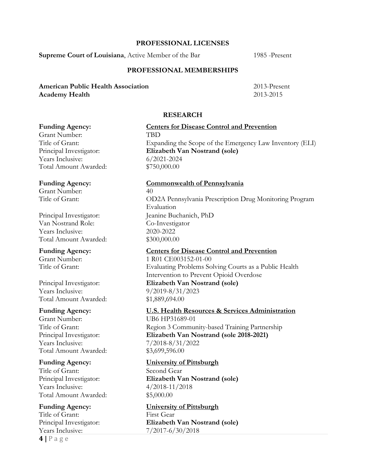## **PROFESSIONAL LICENSES**

**Supreme Court of Louisiana**, Active Member of the Bar 1985 -Present

## **PROFESSIONAL MEMBERSHIPS**

## **American Public Health Association** 2013-Present **Academy Health** 2013-2015

## **RESEARCH**

Grant Number: TBD Years Inclusive: 6/2021-2024 Total Amount Awarded: \$750,000.00

Grant Number: 40

Principal Investigator: Jeanine Buchanich, PhD Van Nostrand Role: Co-Investigator Years Inclusive: 2020-2022 Total Amount Awarded: \$300,000.00

Years Inclusive: 9/2019-8/31/2023 Total Amount Awarded: \$1,889,694.00

Grant Number: UB6 HP31689-01 Years Inclusive: 7/2018-8/31/2022 Total Amount Awarded: \$3,699,596.00

Title of Grant: Second Gear Years Inclusive: 4/2018-11/2018 Total Amount Awarded: \$5,000.00

**4 |** P a g e Title of Grant: First Gear Years Inclusive: 7/2017-6/30/2018

# **Funding Agency: Centers for Disease Control and Prevention** Title of Grant: Expanding the Scope of the Emergency Law Inventory (ELI) Principal Investigator: **Elizabeth Van Nostrand (sole)**

### **Funding Agency: Commonwealth of Pennsylvania**

Title of Grant: OD2A Pennsylvania Prescription Drug Monitoring Program Evaluation

## **Funding Agency: Centers for Disease Control and Prevention**

Grant Number: 1 R01 CE003152-01-00 Title of Grant: Evaluating Problems Solving Courts as a Public Health Intervention to Prevent Opioid Overdose Principal Investigator: **Elizabeth Van Nostrand (sole)**

# **Funding Agency: U.S. Health Resources & Services Administration**

Title of Grant: Region 3 Community-based Training Partnership Principal Investigator: **Elizabeth Van Nostrand (sole 2018-2021)**

### **Funding Agency: University of Pittsburgh**

Principal Investigator: **Elizabeth Van Nostrand (sole)**

**Funding Agency: University of Pittsburgh** Principal Investigator: **Elizabeth Van Nostrand (sole)**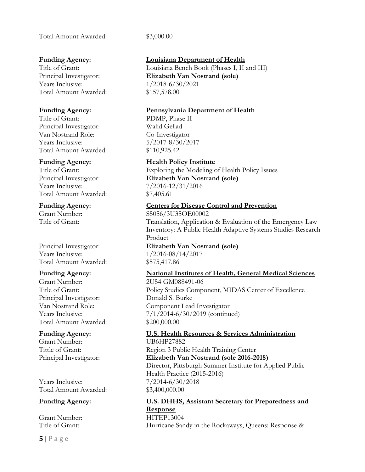Total Amount Awarded: \$3,000.00

Years Inclusive: 1/2018-6/30/2021 Total Amount Awarded: \$157,578.00

Title of Grant: PDMP, Phase II Principal Investigator: Walid Gellad Van Nostrand Role: Co-Investigator Years Inclusive: 5/2017-8/30/2017 Total Amount Awarded: \$110,925.42

Years Inclusive: 7/2016-12/31/2016 Total Amount Awarded: \$7,405.61

Years Inclusive: 1/2016-08/14/2017 Total Amount Awarded: \$575,417.86

Grant Number: 2U54 GM088491-06 Principal Investigator: Donald S. Burke Total Amount Awarded: \$200,000.00

Grant Number: UB6HP27882

Years Inclusive: 7/2014-6/30/2018 Total Amount Awarded: \$3,400,000.00

Grant Number: HITEP13004

# **Funding Agency: Louisiana Department of Health**

Title of Grant: Louisiana Bench Book (Phases I, II and III) Principal Investigator: **Elizabeth Van Nostrand (sole)**

# **Funding Agency: Pennsylvania Department of Health**

# **Funding Agency: Health Policy Institute**

Title of Grant: Exploring the Modeling of Health Policy Issues Principal Investigator: **Elizabeth Van Nostrand (sole)**

# **Funding Agency: Centers for Disease Control and Prevention**

Grant Number: S5056/3U35OE00002 Title of Grant: Translation, Application & Evaluation of the Emergency Law Inventory: A Public Health Adaptive Systems Studies Research Product Principal Investigator: **Elizabeth Van Nostrand (sole)**

# **Funding Agency: National Institutes of Health, General Medical Sciences**

Title of Grant: Policy Studies Component, MIDAS Center of Excellence Van Nostrand Role: Component Lead Investigator Years Inclusive: 7/1/2014-6/30/2019 (continued)

# **Funding Agency: U.S. Health Resources & Services Administration**

Tittle of Grant: Region 3 Public Health Training Center Principal Investigator: **Elizabeth Van Nostrand (sole 2016-2018)** Director, Pittsburgh Summer Institute for Applied Public Health Practice (2015-2016)

# **Funding Agency: U.S. DHHS, Assistant Secretary for Preparedness and Response**

Title of Grant: Hurricane Sandy in the Rockaways, Queens: Response &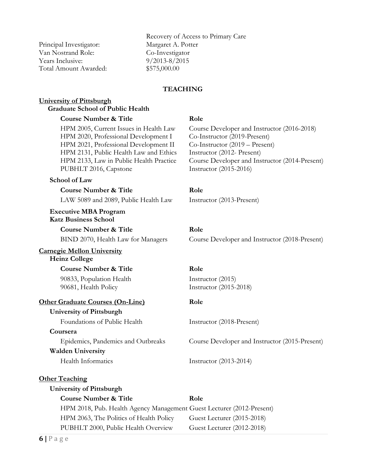Principal Investigator: Margaret A. Potter Van Nostrand Role: Co-Investigator Years Inclusive: 9/2013-8/2015 Total Amount Awarded: \$575,000.00

Recovery of Access to Primary Care

## **TEACHING**

### **University of Pittsburgh Graduate School of Public Health**

### **Course Number & Title Role**

HPM 2005, Current Issues in Health Law Course Developer and Instructor (2016-2018) HPM 2020, Professional Development I Co-Instructor (2019-Present) HPM 2021, Professional Development II Co-Instructor (2019 – Present) HPM 2131, Public Health Law and Ethics Instructor (2012- Present) HPM 2133, Law in Public Health Practice Course Developer and Instructor (2014-Present) PUBHLT 2016, Capstone Instructor (2015-2016)

## **School of Law**

# **Course Number & Title Role**

LAW 5089 and 2089, Public Health Law Instructor (2013-Present)

**Executive MBA Program Katz Business School**

**Course Number & Title Role**

## **Carnegie Mellon University**

## **Heinz College**

### **Course Number & Title Role**

90833, Population Health Instructor (2015) 90681, Health Policy Instructor (2015-2018)

## **Other Graduate Courses (On-Line) Role**

### **University of Pittsburgh**

Foundations of Public Health Instructor (2018-Present)

## **Coursera**

## **Walden University**

### **Other Teaching**

### **University of Pittsburgh**

# **Course Number & Title Role** HPM 2018, Pub. Health Agency Management Guest Lecturer (2012-Present) HPM 2063, The Politics of Health Policy Guest Lecturer (2015-2018) PUBHLT 2000, Public Health Overview Guest Lecturer (2012-2018)

BIND 2070, Health Law for Managers Course Developer and Instructor (2018-Present)

Epidemics, Pandemics and Outbreaks Course Developer and Instructor (2015-Present)

Health Informatics Instructor (2013-2014)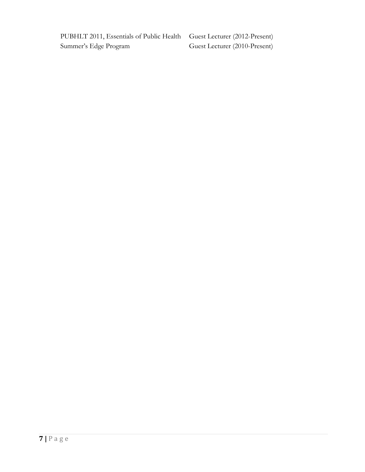PUBHLT 2011, Essentials of Public Health Guest Lecturer (2012-Present) Summer's Edge Program Guest Lecturer (2010-Present)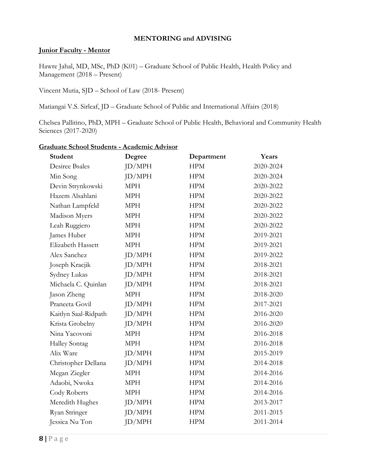## **MENTORING and ADVISING**

# **Junior Faculty - Mentor**

Hawre Jahal, MD, MSc, PhD (K01) – Graduate School of Public Health, Health Policy and Management (2018 – Present)

Vincent Mutia, SJD – School of Law (2018- Present)

Matiangai V.S. Sirleaf, JD – Graduate School of Public and International Affairs (2018)

Chelsea Pallitino, PhD, MPH – Graduate School of Public Health, Behavioral and Community Health Sciences (2017-2020)

| Student               | Degree     | Department | Years     |
|-----------------------|------------|------------|-----------|
| <b>Desiree Bsales</b> | JD/MPH     | <b>HPM</b> | 2020-2024 |
| Min Song              | JD/MPH     | <b>HPM</b> | 2020-2024 |
| Devin Strynkowski     | <b>MPH</b> | <b>HPM</b> | 2020-2022 |
| Hazem Alsahlani       | <b>MPH</b> | <b>HPM</b> | 2020-2022 |
| Nathan Lampfeld       | <b>MPH</b> | <b>HPM</b> | 2020-2022 |
| Madison Myers         | <b>MPH</b> | <b>HPM</b> | 2020-2022 |
| Leah Ruggiero         | <b>MPH</b> | <b>HPM</b> | 2020-2022 |
| James Huber           | <b>MPH</b> | <b>HPM</b> | 2019-2021 |
| Elizabeth Hassett     | <b>MPH</b> | <b>HPM</b> | 2019-2021 |
| Alex Sanchez          | ID/MPH     | <b>HPM</b> | 2019-2022 |
| Joseph Kracjik        | JD/MPH     | <b>HPM</b> | 2018-2021 |
| Sydney Lukas          | JD/MPH     | <b>HPM</b> | 2018-2021 |
| Michaela C. Quinlan   | JD/MPH     | <b>HPM</b> | 2018-2021 |
| Jason Zheng           | <b>MPH</b> | <b>HPM</b> | 2018-2020 |
| Praneeta Govil        | JD/MPH     | <b>HPM</b> | 2017-2021 |
| Kaitlyn Saal-Ridpath  | JD/MPH     | <b>HPM</b> | 2016-2020 |
| Krista Grobelny       | ID/MPH     | <b>HPM</b> | 2016-2020 |
| Nina Yacovoni         | <b>MPH</b> | <b>HPM</b> | 2016-2018 |
| <b>Halley Sontag</b>  | <b>MPH</b> | <b>HPM</b> | 2016-2018 |
| Alix Ware             | ID/MPH     | <b>HPM</b> | 2015-2019 |
| Christopher Dellana   | JD/MPH     | <b>HPM</b> | 2014-2018 |
| Megan Ziegler         | <b>MPH</b> | <b>HPM</b> | 2014-2016 |
| Adaobi, Nwoka         | <b>MPH</b> | <b>HPM</b> | 2014-2016 |
| Cody Roberts          | <b>MPH</b> | <b>HPM</b> | 2014-2016 |
| Meredith Hughes       | JD/MPH     | <b>HPM</b> | 2013-2017 |
| Ryan Stringer         | JD/MPH     | <b>HPM</b> | 2011-2015 |
| Jessica Nu Ton        | JD/MPH     | <b>HPM</b> | 2011-2014 |

## **Graduate School Students - Academic Advisor**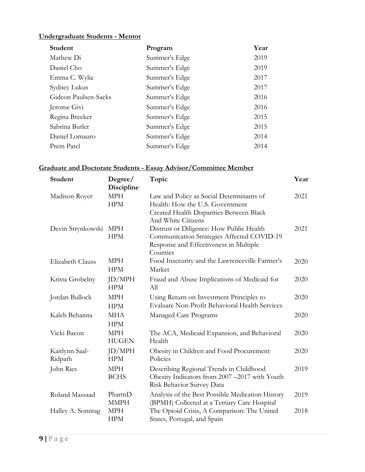# **Undergraduate Students - Mentor**

| Student              | Program       | Year |
|----------------------|---------------|------|
| Mathew Di            | Summer's Edge | 2019 |
| Daniel Cho           | Summer's Edge | 2019 |
| Emma C. Wylie        | Summer's Edge | 2017 |
| Sydney Lukus         | Summer's Edge | 2017 |
| Gideon Paulsen-Sacks | Summer's Edge | 2016 |
| Jerome Givi          | Summer's Edge | 2016 |
| Regina Brecker       | Summer's Edge | 2015 |
| Sabrina Butler       | Summer's Edge | 2015 |
| Daniel Lomauro       | Summer's Edge | 2014 |
| Prem Patel           | Summer's Edge | 2014 |

# **Graduate and Doctorate Students - Essay Advisor/Committee Member**

| <b>Student</b>            | Degree/<br>Discipline    | Topic                                                                                                                                         | Year |
|---------------------------|--------------------------|-----------------------------------------------------------------------------------------------------------------------------------------------|------|
| Madison Royer             | <b>MPH</b><br><b>HPM</b> | Law and Policy as Social Determinants of<br>Health: How the U.S. Government<br>Created Health Disparities Between Black<br>And White Citizens | 2021 |
| Devin Strynkowski MPH     | <b>HPM</b>               | Distrust or Diligence: How Public Health<br>Communication Strategies Affected COVID-19<br>Response and Effectiveness in Multiple<br>Counties  | 2021 |
| Elizabeth Clauss          | <b>MPH</b><br><b>HPM</b> | Food Insecurity and the Lawrenceville Farmer's<br>Market                                                                                      | 2020 |
| Krista Grobelny           | ID/MPH<br><b>HPM</b>     | Fraud and Abuse Implications of Medicaid for<br>All                                                                                           | 2020 |
| Jordan Bullock            | <b>MPH</b><br><b>HPM</b> | Using Return on Investment Principles to<br>Evaluate Non-Profit Behavioral Health Services                                                    | 2020 |
| Kaleb Behanna             | <b>MHA</b><br><b>HPM</b> | Managed Care Programs                                                                                                                         | 2020 |
| Vicki Bacon               | MPH<br><b>HUGEN</b>      | The ACA, Medicaid Expansion, and Behavioral<br>Health                                                                                         | 2020 |
| Kaitlynn Saal-<br>Ridpath | JD/MPH<br><b>HPM</b>     | Obesity in Children and Food Procurement<br>Policies                                                                                          | 2020 |
| John Ries                 | MPH<br><b>BCHS</b>       | Describing Regional Trends in Childhood<br>Obesity Indicators from 2007 -2017 with Youth<br>Risk Behavior Survey Data                         | 2019 |
| Roland Massaad            | PharmD<br><b>MMPH</b>    | Analysis of the Best Possible Medication History<br>(BPMH) Collected at a Tertiary Care Hospital                                              | 2019 |
| Halley A. Sonntag         | <b>MPH</b><br><b>HPM</b> | The Opioid Crisis, A Comparison: The United<br>States, Portugal, and Spain                                                                    | 2018 |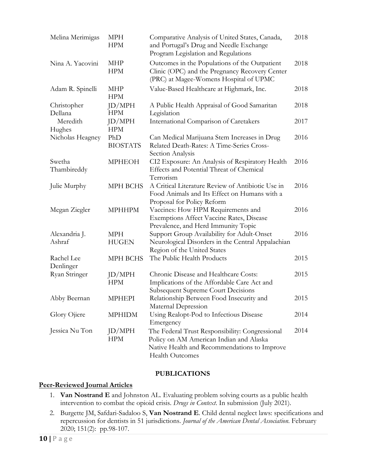| Melina Merimigas        | <b>MPH</b><br><b>HPM</b>   | 2018<br>Comparative Analysis of United States, Canada,<br>and Portugal's Drug and Needle Exchange<br>Program Legislation and Regulations                             |      |
|-------------------------|----------------------------|----------------------------------------------------------------------------------------------------------------------------------------------------------------------|------|
| Nina A. Yacovini        | <b>MHP</b><br><b>HPM</b>   | Outcomes in the Populations of the Outpatient<br>Clinic (OPC) and the Pregnancy Recovery Center<br>(PRC) at Magee-Womens Hospital of UPMC                            | 2018 |
| Adam R. Spinelli        | <b>MHP</b><br><b>HPM</b>   | Value-Based Healthcare at Highmark, Inc.                                                                                                                             | 2018 |
| Christopher<br>Dellana  | ID/MPH<br><b>HPM</b>       | A Public Health Appraisal of Good Samaritan<br>Legislation                                                                                                           | 2018 |
| Meredith<br>Hughes      | JD/MPH<br><b>HPM</b>       | International Comparison of Caretakers                                                                                                                               | 2017 |
| Nicholas Heagney        | PhD<br><b>BIOSTATS</b>     | Can Medical Marijuana Stem Increases in Drug<br>Related Death-Rates: A Time-Series Cross-<br>Section Analysis                                                        | 2016 |
| Swetha<br>Thambireddy   | <b>MPHEOH</b>              | CI2 Exposure: An Analysis of Respiratory Health<br>Effects and Potential Threat of Chemical<br>Terrorism                                                             | 2016 |
| Julie Murphy            | MPH BCHS                   | A Critical Literature Review of Antibiotic Use in<br>Food Animals and Its Effect on Humans with a<br>Proposal for Policy Reform                                      | 2016 |
| Megan Ziegler           | <b>MPHHPM</b>              | Vaccines: How HPM Requirements and<br>Exemptions Affect Vaccine Rates, Disease<br>Prevalence, and Herd Immunity Topic                                                | 2016 |
| Alexandria J.<br>Ashraf | <b>MPH</b><br><b>HUGEN</b> | Support Group Availability for Adult-Onset<br>Neurological Disorders in the Central Appalachian<br>Region of the United States                                       | 2016 |
| Rachel Lee<br>Denlinger | MPH BCHS                   | The Public Health Products                                                                                                                                           | 2015 |
| Ryan Stringer           | JD/MPH<br><b>HPM</b>       | Chronic Disease and Healthcare Costs:<br>Implications of the Affordable Care Act and<br><b>Subsequent Supreme Court Decisions</b>                                    | 2015 |
| Abby Beernan            | <b>MPHEPI</b>              | Relationship Between Food Insecurity and<br>Maternal Depression                                                                                                      | 2015 |
| Glory Ojiere            | <b>MPHIDM</b>              | Using Realopt-Pod to Infectious Disease<br>Emergency                                                                                                                 | 2014 |
| Jessica Nu Ton          | JD/MPH<br><b>HPM</b>       | The Federal Trust Responsibility: Congressional<br>Policy on AM American Indian and Alaska<br>Native Health and Recommendations to Improve<br><b>Health Outcomes</b> | 2014 |

# **PUBLICATIONS**

## **Peer-Reviewed Journal Articles**

- 1. **Van Nostrand E** and Johnston AL. Evaluating problem solving courts as a public health intervention to combat the opioid crisis. *Drugs in Context*. In submission (July 2021).
- 2. Burgette JM, Safdari-Sadaloo S, **Van Nostrand E**. Child dental neglect laws: specifications and repercussion for dentists in 51 jurisdictions. *Journal of the American Dental Association*. February 2020; 151(2): pp.98-107.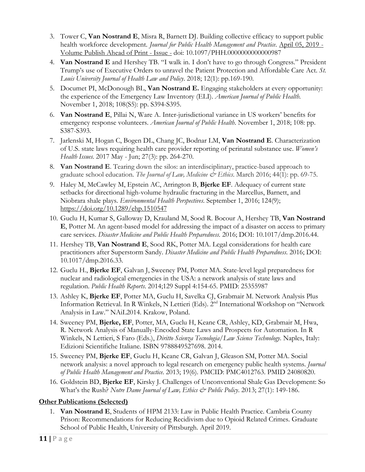- 3. Tower C, **Van Nostrand E**, Misra R, Barnett DJ. Building collective efficacy to support public health workforce development. *Journal for Public Health Management and Practice*. April 05, 2019 - Volume Publish Ahead of Print - Issue - doi: 10.1097/PHH.0000000000000987
- 4. **Van Nostrand E** and Hershey TB. "I walk in. I don't have to go through Congress." President Trump's use of Executive Orders to unravel the Patient Protection and Affordable Care Act. *St. Louis University Journal of Health Law and Policy*. 2018; 12(1): pp.169-190.
- 5. Documet PI, McDonough BL, **Van Nostrand E.** Engaging stakeholders at every opportunity: the experience of the Emergency Law Inventory (ELI). *American Journal of Public Health*. November 1, 2018; 108(S5): pp. S394-S395.
- 6. **Van Nostrand E**, Pillai N, Ware A. Inter-jurisdictional variance in US workers' benefits for emergency response volunteers. *American Journal of Public Health*. November 1, 2018; 108: pp. S387-S393.
- 7. Jarlenski M, Hogan C, Bogen DL, Chang JC, Bodnar LM, **Van Nostrand E**. Characterization of U.S. state laws requiring health care provider reporting of perinatal substance use. *Women's Health Issues.* 2017 May - Jun; 27(3): pp. 264-270.
- 8. **Van Nostrand E**. Tearing down the silos: an interdisciplinary, practice-based approach to graduate school education. *The Journal of Law, Medicine & Ethics*. March 2016; 44(1): pp. 69-75.
- 9. Haley M, McCawley M, Epstein AC, Arrington B, **Bjerke EF**. Adequacy of current state setbacks for directional high-volume hydraulic fracturing in the Marcellus, Barnett, and Niobrara shale plays. *Environmental Health Perspectives*. September 1, 2016; 124(9); https://doi.org/10.1289/ehp.1510547
- 10. Guclu H, Kumar S, Galloway D, Krauland M, Sood R. Bocour A, Hershey TB, **Van Nostrand E**, Potter M. An agent-based model for addressing the impact of a disaster on access to primary care services. *Disaster Medicine and Public Health Preparedness.* 2016; DOI: 10.1017/dmp.2016.44.
- 11. Hershey TB, **Van Nostrand E**, Sood RK, Potter MA. Legal considerations for health care practitioners after Superstorm Sandy. *Disaster Medicine and Public Health Preparedness*. 2016; DOI: 10.1017/dmp.2016.33.
- 12. Guclu H., **Bjerke EF**, Galvan J, Sweeney PM, Potter MA. State-level legal preparedness for nuclear and radiological emergencies in the USA: a network analysis of state laws and regulation. *Public Health Reports*. 2014;129 Suppl 4:154-65. PMID: 25355987
- 13. Ashley K, **Bjerke EF**, Potter MA, Guclu H, Savelka CJ, Grabmair M. Network Analysis Plus Information Retrieval. In R Winkels, N Lettieri (Eds). 2nd International Workshop on "Network Analysis in Law." NAiL2014. Krakow, Poland.
- 14. Sweeney PM, **Bjerke, EF**, Potter, MA, Guclu H, Keane CR, Ashley, KD, Grabmair M, Hwa, R. Network Analysis of Manually-Encoded State Laws and Prospects for Automation. In R Winkels, N Lettieri, S Faro (Eds.), *Diritto Scienza Tecnologia/Law Science Technology*. Naples, Italy: Edizioni Scientifiche Italiane. ISBN 9788849527698. 2014.
- 15. Sweeney PM, **Bjerke EF**, Guclu H, Keane CR, Galvan J, Gleason SM, Potter MA. Social network analysis: a novel approach to legal research on emergency public health systems. *Journal of Public Health Management and Practice*. 2013; 19(6). PMCID: PMC4012763. PMID 24080820.
- 16. Goldstein BD, **Bjerke EF**, Kirsky J. Challenges of Unconventional Shale Gas Development: So What's the Rush? *Notre Dame Journal of Law, Ethics & Public Policy*. 2013; 27(1): 149-186.

# **Other Publications (Selected)**

1. **Van Nostrand E**, Students of HPM 2133: Law in Public Health Practice. Cambria County Prison: Recommendations for Reducing Recidivism due to Opioid Related Crimes. Graduate School of Public Health, University of Pittsburgh. April 2019.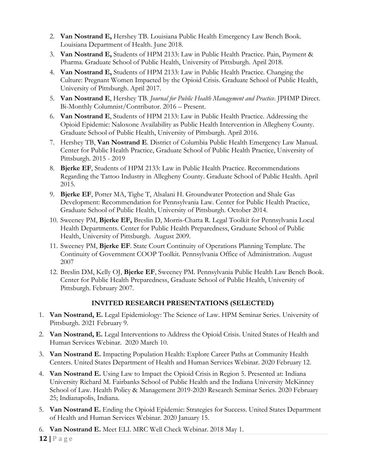- 2. **Van Nostrand E,** Hershey TB. Louisiana Public Health Emergency Law Bench Book. Louisiana Department of Health. June 2018.
- 3. **Van Nostrand E,** Students of HPM 2133: Law in Public Health Practice. Pain, Payment & Pharma. Graduate School of Public Health, University of Pittsburgh. April 2018.
- 4. **Van Nostrand E,** Students of HPM 2133: Law in Public Health Practice. Changing the Culture: Pregnant Women Impacted by the Opioid Crisis. Graduate School of Public Health, University of Pittsburgh. April 2017.
- 5. **Van Nostrand E**, Hershey TB. *Journal for Public Health Management and Practice*. JPHMP Direct. Bi-Monthly Columnist/Contributor. 2016 – Present.
- 6. **Van Nostrand E**, Students of HPM 2133: Law in Public Health Practice. Addressing the Opioid Epidemic: Naloxone Availability as Public Health Intervention in Allegheny County. Graduate School of Public Health, University of Pittsburgh. April 2016.
- 7. Hershey TB, **Van Nostrand E**. District of Columbia Public Health Emergency Law Manual. Center for Public Health Practice, Graduate School of Public Health Practice, University of Pittsburgh. 2015 - 2019
- 8. **Bjerke EF**, Students of HPM 2133: Law in Public Health Practice. Recommendations Regarding the Tattoo Industry in Allegheny County. Graduate School of Public Health. April 2015.
- 9. **Bjerke EF**, Potter MA, Tighe T, Alsalani H. Groundwater Protection and Shale Gas Development: Recommendation for Pennsylvania Law. Center for Public Health Practice, Graduate School of Public Health, University of Pittsburgh. October 2014.
- 10. Sweeney PM, **Bjerke EF,** Breslin D, Morris-Chatta R. Legal Toolkit for Pennsylvania Local Health Departments. Center for Public Health Preparedness, Graduate School of Public Health, University of Pittsburgh. August 2009.
- 11. Sweeney PM, **Bjerke EF**. State Court Continuity of Operations Planning Template. The Continuity of Government COOP Toolkit. Pennsylvania Office of Administration. August 2007
- 12. Breslin DM, Kelly OJ, **Bjerke EF**, Sweeney PM. Pennsylvania Public Health Law Bench Book. Center for Public Health Preparedness, Graduate School of Public Health, University of Pittsburgh. February 2007.

# **INVITED RESEARCH PRESENTATIONS (SELECTED)**

- 1. **Van Nostrand, E.** Legal Epidemiology: The Science of Law. HPM Seminar Series. University of Pittsburgh. 2021 February 9.
- 2. **Van Nostrand, E.** Legal Interventions to Address the Opioid Crisis. United States of Health and Human Services Webinar. 2020 March 10.
- 3. **Van Nostrand E.** Impacting Population Health: Explore Career Paths at Community Health Centers. United States Department of Health and Human Services Webinar. 2020 February 12.
- 4. **Van Nostrand E.** Using Law to Impact the Opioid Crisis in Region 5. Presented at: Indiana University Richard M. Fairbanks School of Public Health and the Indiana University McKinney School of Law. Health Policy & Management 2019-2020 Research Seminar Series. 2020 February 25; Indianapolis, Indiana.
- 5. **Van Nostrand E.** Ending the Opioid Epidemic: Strategies for Success. United States Department of Health and Human Services Webinar. 2020 January 15.
- 6. **Van Nostrand E.** Meet ELI. MRC Well Check Webinar. 2018 May 1.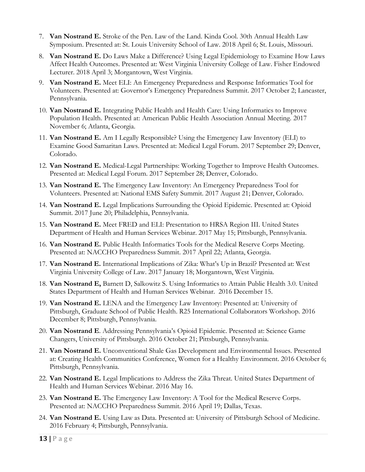- 7. **Van Nostrand E.** Stroke of the Pen. Law of the Land. Kinda Cool. 30th Annual Health Law Symposium. Presented at: St. Louis University School of Law. 2018 April 6; St. Louis, Missouri.
- 8. **Van Nostrand E.** Do Laws Make a Difference? Using Legal Epidemiology to Examine How Laws Affect Health Outcomes. Presented at: West Virginia University College of Law. Fisher Endowed Lecturer. 2018 April 3; Morgantown, West Virginia.
- 9. **Van Nostrand E.** Meet ELI: An Emergency Preparedness and Response Informatics Tool for Volunteers. Presented at: Governor's Emergency Preparedness Summit. 2017 October 2; Lancaster, Pennsylvania.
- 10. **Van Nostrand E.** Integrating Public Health and Health Care: Using Informatics to Improve Population Health. Presented at: American Public Health Association Annual Meeting. 2017 November 6; Atlanta, Georgia.
- 11. **Van Nostrand E.** Am I Legally Responsible? Using the Emergency Law Inventory (ELI) to Examine Good Samaritan Laws. Presented at: Medical Legal Forum. 2017 September 29; Denver, Colorado.
- 12. **Van Nostrand E.** Medical-Legal Partnerships: Working Together to Improve Health Outcomes. Presented at: Medical Legal Forum. 2017 September 28; Denver, Colorado.
- 13. **Van Nostrand E.** The Emergency Law Inventory: An Emergency Preparedness Tool for Volunteers. Presented at: National EMS Safety Summit. 2017 August 21; Denver, Colorado.
- 14. **Van Nostrand E.** Legal Implications Surrounding the Opioid Epidemic. Presented at: Opioid Summit. 2017 June 20; Philadelphia, Pennsylvania.
- 15. **Van Nostrand E.** Meet FRED and ELI: Presentation to HRSA Region III. United States Department of Health and Human Services Webinar. 2017 May 15; Pittsburgh, Pennsylvania.
- 16. **Van Nostrand E.** Public Health Informatics Tools for the Medical Reserve Corps Meeting. Presented at: NACCHO Preparedness Summit. 2017 April 22; Atlanta, Georgia.
- 17. **Van Nostrand E.** International Implications of Zika: What's Up in Brazil? Presented at: West Virginia University College of Law. 2017 January 18; Morgantown, West Virginia.
- 18. **Van Nostrand E,** Barnett D, Salkowitz S. Using Informatics to Attain Public Health 3.0. United States Department of Health and Human Services Webinar. 2016 December 15.
- 19. **Van Nostrand E.** LENA and the Emergency Law Inventory: Presented at: University of Pittsburgh, Graduate School of Public Health. R25 International Collaborators Workshop. 2016 December 8; Pittsburgh, Pennsylvania.
- 20. **Van Nostrand E**. Addressing Pennsylvania's Opioid Epidemic. Presented at: Science Game Changers, University of Pittsburgh. 2016 October 21; Pittsburgh, Pennsylvania.
- 21. **Van Nostrand E.** Unconventional Shale Gas Development and Environmental Issues. Presented at: Creating Health Communities Conference, Women for a Healthy Environment. 2016 October 6; Pittsburgh, Pennsylvania.
- 22. **Van Nostrand E.** Legal Implications to Address the Zika Threat. United States Department of Health and Human Services Webinar. 2016 May 16.
- 23. **Van Nostrand E.** The Emergency Law Inventory: A Tool for the Medical Reserve Corps. Presented at: NACCHO Preparedness Summit. 2016 April 19; Dallas, Texas.
- 24. **Van Nostrand E.** Using Law as Data. Presented at: University of Pittsburgh School of Medicine. 2016 February 4; Pittsburgh, Pennsylvania.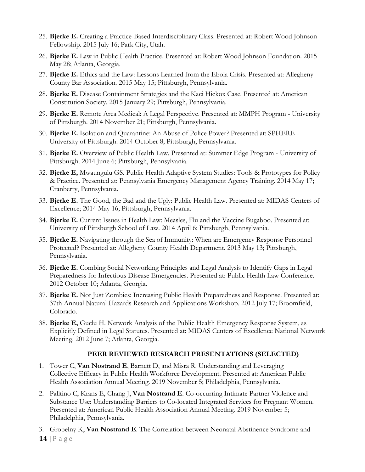- 25. **Bjerke E.** Creating a Practice-Based Interdisciplinary Class. Presented at: Robert Wood Johnson Fellowship. 2015 July 16; Park City, Utah.
- 26. **Bjerke E.** Law in Public Health Practice. Presented at: Robert Wood Johnson Foundation. 2015 May 28; Atlanta, Georgia.
- 27. **Bjerke E.** Ethics and the Law: Lessons Learned from the Ebola Crisis. Presented at: Allegheny County Bar Association. 2015 May 15; Pittsburgh, Pennsylvania.
- 28. **Bjerke E.** Disease Containment Strategies and the Kaci Hickox Case. Presented at: American Constitution Society. 2015 January 29; Pittsburgh, Pennsylvania.
- 29. **Bjerke E.** Remote Area Medical: A Legal Perspective. Presented at: MMPH Program University of Pittsburgh. 2014 November 21; Pittsburgh, Pennsylvania.
- 30. **Bjerke E.** Isolation and Quarantine: An Abuse of Police Power? Presented at: SPHERE University of Pittsburgh. 2014 October 8; Pittsburgh, Pennsylvania.
- 31. **Bjerke E.** Overview of Public Health Law. Presented at: Summer Edge Program University of Pittsburgh. 2014 June 6; Pittsburgh, Pennsylvania.
- 32. **Bjerke E,** Mwaungulu GS. Public Health Adaptive System Studies: Tools & Prototypes for Policy & Practice. Presented at: Pennsylvania Emergency Management Agency Training. 2014 May 17; Cranberry, Pennsylvania.
- 33. **Bjerke E.** The Good, the Bad and the Ugly: Public Health Law. Presented at: MIDAS Centers of Excellence; 2014 May 16; Pittsburgh, Pennsylvania.
- 34. **Bjerke E.** Current Issues in Health Law: Measles, Flu and the Vaccine Bugaboo. Presented at: University of Pittsburgh School of Law. 2014 April 6; Pittsburgh, Pennsylvania.
- 35. **Bjerke E.** Navigating through the Sea of Immunity: When are Emergency Response Personnel Protected? Presented at: Allegheny County Health Department. 2013 May 13; Pittsburgh, Pennsylvania.
- 36. **Bjerke E.** Combing Social Networking Principles and Legal Analysis to Identify Gaps in Legal Preparedness for Infectious Disease Emergencies. Presented at: Public Health Law Conference. 2012 October 10; Atlanta, Georgia.
- 37. **Bjerke E.** Not Just Zombies: Increasing Public Health Preparedness and Response. Presented at: 37th Annual Natural Hazards Research and Applications Workshop. 2012 July 17; Broomfield, Colorado.
- 38. **Bjerke E,** Guclu H. Network Analysis of the Public Health Emergency Response System, as Explicitly Defined in Legal Statutes. Presented at: MIDAS Centers of Excellence National Network Meeting. 2012 June 7; Atlanta, Georgia.

# **PEER REVIEWED RESEARCH PRESENTATIONS (SELECTED)**

- 1. Tower C, **Van Nostrand E**, Barnett D, and Misra R. Understanding and Leveraging Collective Efficacy in Public Health Workforce Development. Presented at: American Public Health Association Annual Meeting. 2019 November 5; Philadelphia, Pennsylvania.
- 2. Palitino C, Krans E, Chang J, **Van Nostrand E**. Co-occurring Intimate Partner Violence and Substance Use: Understanding Barriers to Co-located Integrated Services for Pregnant Women. Presented at: American Public Health Association Annual Meeting. 2019 November 5; Philadelphia, Pennsylvania.
- 3. Grobelny K, **Van Nostrand E**. The Correlation between Neonatal Abstinence Syndrome and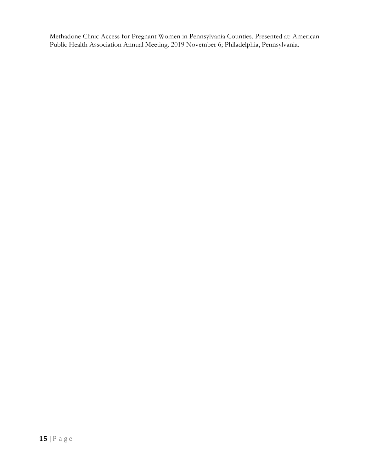Methadone Clinic Access for Pregnant Women in Pennsylvania Counties. Presented at: American Public Health Association Annual Meeting. 2019 November 6; Philadelphia, Pennsylvania.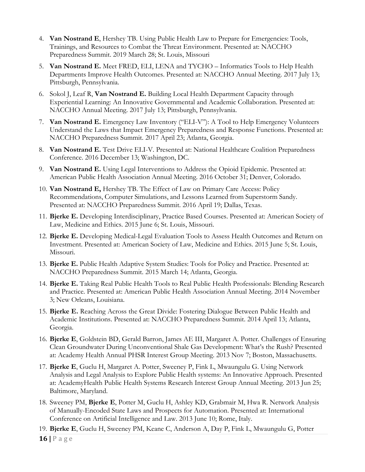- 4. **Van Nostrand E**, Hershey TB. Using Public Health Law to Prepare for Emergencies: Tools, Trainings, and Resources to Combat the Threat Environment. Presented at: NACCHO Preparedness Summit. 2019 March 28; St. Louis, Missouri
- 5. **Van Nostrand E.** Meet FRED, ELI, LENA and TYCHO Informatics Tools to Help Health Departments Improve Health Outcomes. Presented at: NACCHO Annual Meeting. 2017 July 13; Pittsburgh, Pennsylvania.
- 6. Sokol J, Leaf R, **Van Nostrand E.** Building Local Health Department Capacity through Experiential Learning: An Innovative Governmental and Academic Collaboration. Presented at: NACCHO Annual Meeting. 2017 July 13; Pittsburgh, Pennsylvania.
- 7. **Van Nostrand E.** Emergency Law Inventory ("ELI-V"): A Tool to Help Emergency Volunteers Understand the Laws that Impact Emergency Preparedness and Response Functions. Presented at: NACCHO Preparedness Summit. 2017 April 23; Atlanta, Georgia.
- 8. **Van Nostrand E.** Test Drive ELI-V. Presented at: National Healthcare Coalition Preparedness Conference. 2016 December 13; Washington, DC.
- 9. **Van Nostrand E.** Using Legal Interventions to Address the Opioid Epidemic. Presented at: American Public Health Association Annual Meeting. 2016 October 31; Denver, Colorado.
- 10. **Van Nostrand E,** Hershey TB. The Effect of Law on Primary Care Access: Policy Recommendations, Computer Simulations, and Lessons Learned from Superstorm Sandy. Presented at: NACCHO Preparedness Summit. 2016 April 19; Dallas, Texas.
- 11. **Bjerke E.** Developing Interdisciplinary, Practice Based Courses. Presented at: American Society of Law, Medicine and Ethics. 2015 June 6; St. Louis, Missouri.
- 12. **Bjerke E.** Developing Medical-Legal Evaluation Tools to Assess Health Outcomes and Return on Investment. Presented at: American Society of Law, Medicine and Ethics. 2015 June 5; St. Louis, Missouri.
- 13. **Bjerke E.** Public Health Adaptive System Studies: Tools for Policy and Practice. Presented at: NACCHO Preparedness Summit. 2015 March 14; Atlanta, Georgia.
- 14. **Bjerke E.** Taking Real Public Health Tools to Real Public Health Professionals: Blending Research and Practice. Presented at: American Public Health Association Annual Meeting. 2014 November 3; New Orleans, Louisiana.
- 15. **Bjerke E.** Reaching Across the Great Divide: Fostering Dialogue Between Public Health and Academic Institutions. Presented at: NACCHO Preparedness Summit. 2014 April 13; Atlanta, Georgia.
- 16. **Bjerke E**, Goldstein BD, Gerald Barron, James AE III, Margaret A. Potter. Challenges of Ensuring Clean Groundwater During Unconventional Shale Gas Development: What's the Rush? Presented at: Academy Health Annual PHSR Interest Group Meeting. 2013 Nov 7; Boston, Massachusetts.
- 17. **Bjerke E**, Guclu H, Margaret A. Potter, Sweeney P, Fink L, Mwaungulu G. Using Network Analysis and Legal Analysis to Explore Public Health systems: An Innovative Approach. Presented at: AcademyHealth Public Health Systems Research Interest Group Annual Meeting. 2013 Jun 25; Baltimore, Maryland.
- 18. Sweeney PM, **Bjerke E**, Potter M, Guclu H, Ashley KD, Grabmair M, Hwa R. Network Analysis of Manually-Encoded State Laws and Prospects for Automation. Presented at: International Conference on Artificial Intelligence and Law. 2013 June 10; Rome, Italy.
- 19. **Bjerke E**, Guclu H, Sweeney PM, Keane C, Anderson A, Day P, Fink L, Mwaungulu G, Potter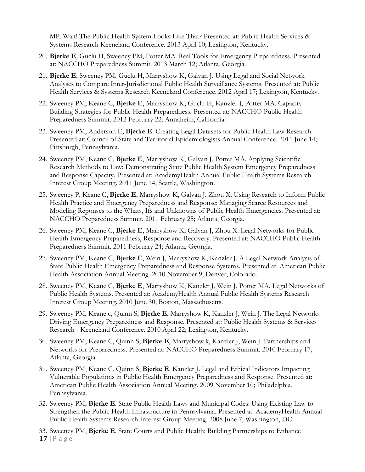MP. Wait! The Public Health System Looks Like That? Presented at: Public Health Services & Systems Research Keeneland Conference. 2013 April 10; Lexington, Kentucky.

- 20. **Bjerke E**, Guclu H, Sweeney PM, Potter MA. Real Tools for Emergency Preparedness. Presented at: NACCHO Preparedness Summit. 2013 March 12; Atlanta, Georgia.
- 21. **Bjerke E**, Sweeney PM, Guclu H, Marryshow K, Galvan J. Using Legal and Social Network Analyses to Compare Inter-Jurisdictional Public Health Surveillance Systems. Presented at: Public Health Services & Systems Research Keeneland Conference. 2012 April 17; Lexington, Kentucky.
- 22. Sweeney PM, Keane C, **Bjerke E**, Marryshow K, Guclu H, Kanzler J, Potter MA. Capacity Building Strategies for Public Health Preparedness. Presented at: NACCHO Public Health Preparedness Summit. 2012 February 22; Annaheim, California.
- 23. Sweeney PM, Anderson E, **Bjerke E**. Creating Legal Datasets for Public Health Law Research. Presented at: Council of State and Territorial Epidemiologists Annual Conference. 2011 June 14; Pittsburgh, Pennsylvania.
- 24. Sweeney PM, Keane C, **Bjerke E**, Marryshow K, Galvan J, Potter MA. Applying Scientific Research Methods to Law: Demonstrating State Public Health System Emergency Preparedness and Response Capacity. Presented at: AcademyHealth Annual Public Health Systems Research Interest Group Meeting. 2011 June 14; Seattle, Washington.
- 25. Sweeney P, Keane C, **Bjerke E**, Marryshow K, Galvan J, Zhou X. Using Research to Inform Public Health Practice and Emergency Preparedness and Response: Managing Scarce Resources and Modeling Reponses to the Whats, Ifs and Unknowns of Public Health Emergencies. Presented at: NACCHO Preparedness Summit. 2011 February 25; Atlanta, Georgia.
- 26. Sweeney PM, Keane C, **Bjerke E**, Marryshow K, Galvan J, Zhou X. Legal Networks for Public Health Emergency Preparedness, Response and Recovery. Presented at: NACCHO Public Health Preparedness Summit. 2011 February 24; Atlanta, Georgia.
- 27. Sweeney PM, Keane C, **Bjerke E**, Wein J, Marryshow K, Kanzler J. A Legal Network Analysis of State Public Health Emergency Preparedness and Response Systems. Presented at: American Public Health Association Annual Meeting. 2010 November 9; Denver, Colorado.
- 28. Sweeney PM, Keane C, **Bjerke E**, Marryshow K, Kanzler J, Wein J, Potter MA. Legal Networks of Public Health Systems. Presented at: AcademyHealth Annual Public Health Systems Research Interest Group Meeting. 2010 June 30; Boston, Massachusetts.
- 29. Sweeney PM, Keane c, Quinn S, **Bjerke E**, Marryshow K, Kanzler J, Wein J. The Legal Networks Driving Emergency Preparedness and Response. Presented at: Public Health Systems & Services Research - Keeneland Conference. 2010 April 22; Lexington, Kentucky.
- 30. Sweeney PM, Keane C, Quinn S, **Bjerke E**, Marryshow k, Kanzler J, Wein J. Partnerships and Networks for Preparedness. Presented at: NACCHO Preparedness Summit. 2010 February 17; Atlanta, Georgia.
- 31. Sweeney PM, Keane C, Quinn S, **Bjerke E**, Kanzler J. Legal and Ethical Indicators Impacting Vulnerable Populations in Public Health Emergency Preparedness and Response. Presented at: American Public Health Association Annual Meeting. 2009 November 10; Philadelphia, Pennsylvania.
- 32. Sweeney PM, **Bjerke E**. State Public Health Laws and Municipal Codes: Using Existing Law to Strengthen the Public Health Infrastructure in Pennsylvania. Presented at: AcademyHealth Annual Public Health Systems Research Interest Group Meeting. 2008 June 7; Washington, DC.

**17 |** P a g e 33. Sweeney PM, **Bjerke E**. State Courts and Public Health: Building Partnerships to Enhance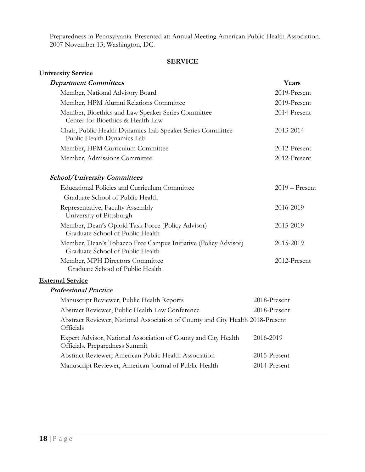Preparedness in Pennsylvania. Presented at: Annual Meeting American Public Health Association. 2007 November 13; Washington, DC.

# **SERVICE**

| <b>University Service</b>                                                                          |                  |
|----------------------------------------------------------------------------------------------------|------------------|
| <b>Department Committees</b>                                                                       | Years            |
| Member, National Advisory Board                                                                    | 2019-Present     |
| Member, HPM Alumni Relations Committee                                                             | 2019-Present     |
| Member, Bioethics and Law Speaker Series Committee<br>Center for Bioethics & Health Law            | 2014-Present     |
| Chair, Public Health Dynamics Lab Speaker Series Committee<br>Public Health Dynamics Lab           | 2013-2014        |
| Member, HPM Curriculum Committee                                                                   | 2012-Present     |
| Member, Admissions Committee                                                                       | 2012-Present     |
| <b>School/University Committees</b>                                                                |                  |
| <b>Educational Policies and Curriculum Committee</b>                                               | $2019 -$ Present |
| Graduate School of Public Health                                                                   |                  |
| Representative, Faculty Assembly<br>University of Pittsburgh                                       | 2016-2019        |
| Member, Dean's Opioid Task Force (Policy Advisor)<br>Graduate School of Public Health              | 2015-2019        |
| Member, Dean's Tobacco Free Campus Initiative (Policy Advisor)<br>Graduate School of Public Health | 2015-2019        |
| Member, MPH Directors Committee<br>Graduate School of Public Health                                | 2012-Present     |
| <b>External Service</b>                                                                            |                  |
| <b>Professional Practice</b>                                                                       |                  |
| Manuscript Reviewer, Public Health Reports                                                         | 2018-Present     |
| Abstract Reviewer, Public Health Law Conference                                                    | 2018-Present     |
| Abstract Reviewer, National Association of County and City Health 2018-Present<br>Officials        |                  |
| Expert Advisor, National Association of County and City Health<br>Officials, Preparedness Summit   | 2016-2019        |
| Abstract Reviewer, American Public Health Association                                              | 2015-Present     |
| Manuscript Reviewer, American Journal of Public Health                                             | 2014-Present     |